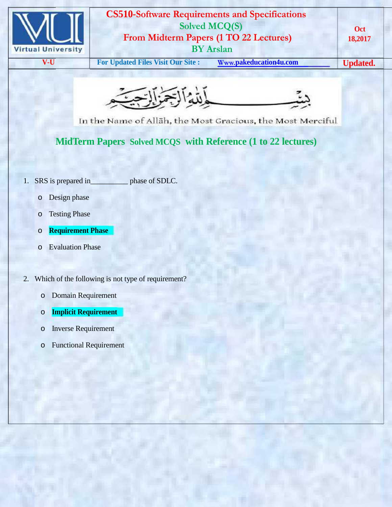



In the Name of Allah, the Most Gracious, the Most Merciful

**MidTerm Papers Solved MCQS with Reference (1 to 22 lectures)**

- 1. SRS is prepared in phase of SDLC.
	- o Design phase
	- o Testing Phase
	- o **Requirement Phase**
	- o Evaluation Phase
- 2. Which of the following is not type of requirement?
	- o Domain Requirement
	- o **Implicit Requirement**
	- o Inverse Requirement
	- o Functional Requirement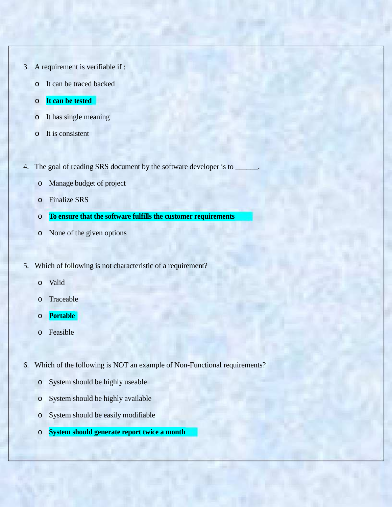- 3. A requirement is verifiable if :
	- o It can be traced backed
	- o **It can be tested**
	- o It has single meaning
	- o It is consistent
- 4. The goal of reading SRS document by the software developer is to
	- o Manage budget of project
	- o Finalize SRS
	- o **To ensure that the software fulfills the customer requirements**
	- o None of the given options
- 5. Which of following is not characteristic of a requirement?
	- o Valid
	- o Traceable
	- o **Portable**
	- o Feasible
- 6. Which of the following is NOT an example of Non-Functional requirements?
	- o System should be highly useable
	- o System should be highly available
	- o System should be easily modifiable
	- o **System should generate report twice a month**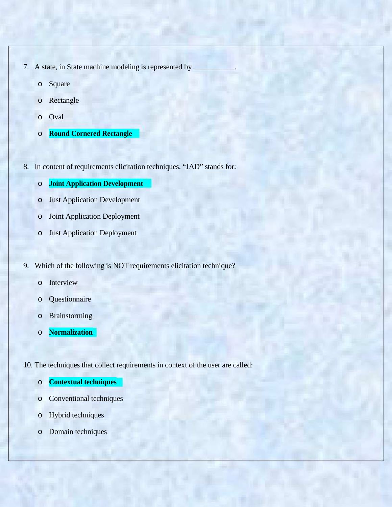- 7. A state, in State machine modeling is represented by
	- o Square
	- o Rectangle
	- o Oval
	- o **Round Cornered Rectangle**
- 8. In content of requirements elicitation techniques. "JAD" stands for:
	- o **Joint Application Development**
	- o Just Application Development
	- o Joint Application Deployment
	- o Just Application Deployment
- 9. Which of the following is NOT requirements elicitation technique?
	- o Interview
	- o Questionnaire
	- o Brainstorming
	- o **Normalization**
- 10. The techniques that collect requirements in context of the user are called:
	- o **Contextual techniques**
	- o Conventional techniques
	- o Hybrid techniques
	- o Domain techniques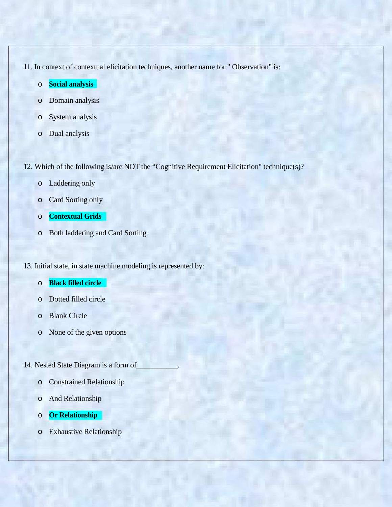11. In context of contextual elicitation techniques, another name for " Observation" is:

- o **Social analysis**
- o Domain analysis
- o System analysis
- o Dual analysis

12. Which of the following is/are NOT the "Cognitive Requirement Elicitation" technique(s)?

- o Laddering only
- o Card Sorting only
- o **Contextual Grids**
- o Both laddering and Card Sorting

13. Initial state, in state machine modeling is represented by:

- o **Black filled circle**
- o Dotted filled circle
- o Blank Circle
- o None of the given options
- 14. Nested State Diagram is a form of\_\_\_\_\_\_\_\_\_\_\_.
	- o Constrained Relationship
	- o And Relationship
	- o **Or Relationship**
	- o Exhaustive Relationship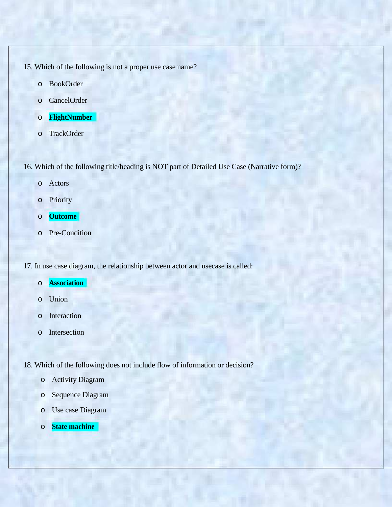- 15. Which of the following is not a proper use case name?
	- o BookOrder
	- o CancelOrder
	- o **FlightNumber**
	- o TrackOrder

16. Which of the following title/heading is NOT part of Detailed Use Case (Narrative form)?

- o Actors
- o Priority
- o **Outcome**
- o Pre-Condition

17. In use case diagram, the relationship between actor and usecase is called:

- o **Association**
- o Union
- o Interaction
- o Intersection

18. Which of the following does not include flow of information or decision?

- o Activity Diagram
- o Sequence Diagram
- o Use case Diagram
- o **State machine**